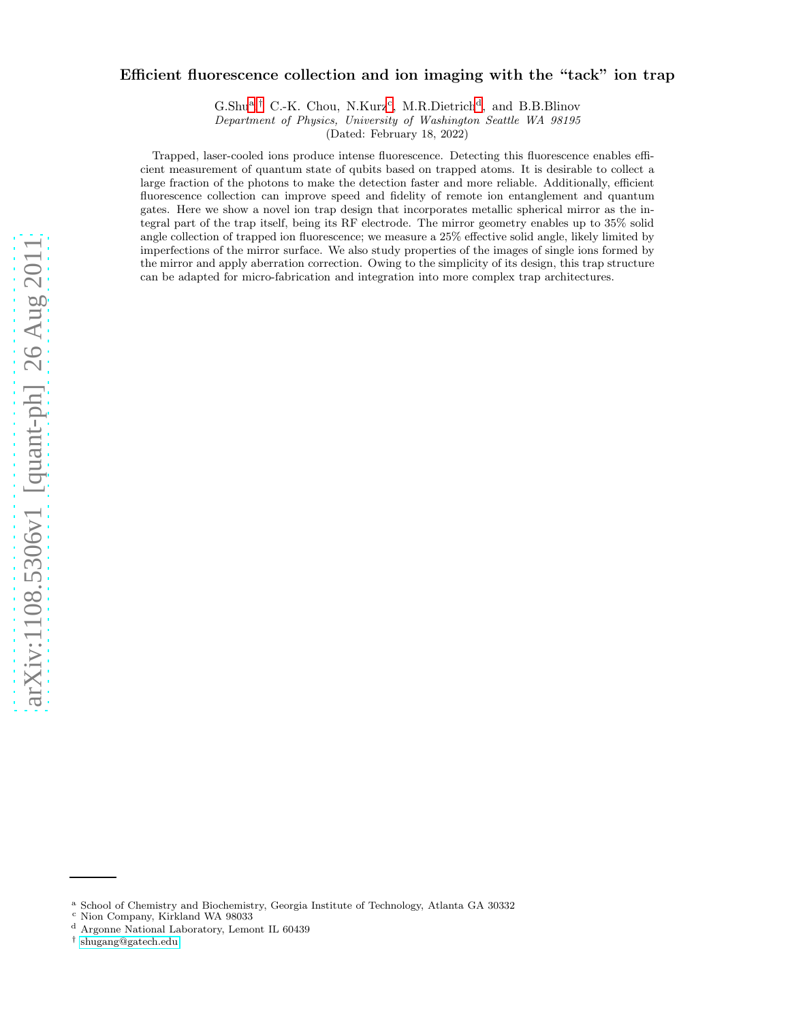## Efficient fluorescence collection and ion imaging with the "tack" ion trap

G.Shu<sup>[a](#page-0-0)</sup>,<sup>[†](#page-0-1)</sup> C.-K. Chou, N.Kurz<sup>[c](#page-0-2)</sup>, M.R.Dietrich<sup>[d](#page-0-3)</sup>, and B.B.Blinov Department of Physics, University of Washington Seattle WA 98195

(Dated: February 18, 2022)

Trapped, laser-cooled ions produce intense fluorescence. Detecting this fluorescence enables efficient measurement of quantum state of qubits based on trapped atoms. It is desirable to collect a large fraction of the photons to make the detection faster and more reliable. Additionally, efficient fluorescence collection can improve speed and fidelity of remote ion entanglement and quantum gates. Here we show a novel ion trap design that incorporates metallic spherical mirror as the integral part of the trap itself, being its RF electrode. The mirror geometry enables up to 35% solid angle collection of trapped ion fluorescence; we measure a 25% effective solid angle, likely limited by imperfections of the mirror surface. We also study properties of the images of single ions formed by the mirror and apply aberration correction. Owing to the simplicity of its design, this trap structure can be adapted for micro-fabrication and integration into more complex trap architectures.

<sup>a</sup> School of Chemistry and Biochemistry, Georgia Institute of Technology, Atlanta GA 30332

<span id="page-0-0"></span><sup>c</sup> Nion Company, Kirkland WA 98033

<span id="page-0-2"></span><sup>d</sup> Argonne National Laboratory, Lemont IL 60439

<span id="page-0-3"></span><span id="page-0-1"></span><sup>†</sup> [shugang@gatech.edu](mailto:shugang@gatech.edu)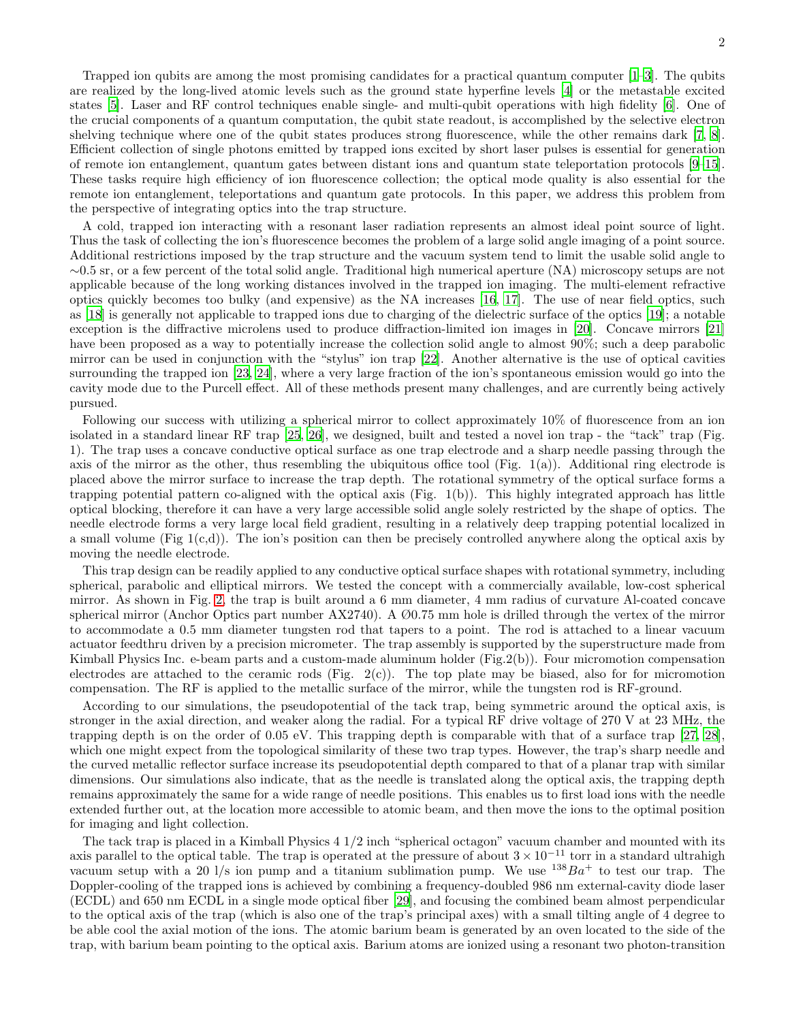Trapped ion qubits are among the most promising candidates for a practical quantum computer  $[1-3]$ . The qubits are realized by the long-lived atomic levels such as the ground state hyperfine levels [\[4](#page-6-2)] or the metastable excited states [\[5\]](#page-6-3). Laser and RF control techniques enable single- and multi-qubit operations with high fidelity [\[6](#page-6-4)]. One of the crucial components of a quantum computation, the qubit state readout, is accomplished by the selective electron shelving technique where one of the qubit states produces strong fluorescence, while the other remains dark [\[7,](#page-6-5) [8\]](#page-6-6). Efficient collection of single photons emitted by trapped ions excited by short laser pulses is essential for generation of remote ion entanglement, quantum gates between distant ions and quantum state teleportation protocols [\[9](#page-6-7)[–15\]](#page-6-8). These tasks require high efficiency of ion fluorescence collection; the optical mode quality is also essential for the remote ion entanglement, teleportations and quantum gate protocols. In this paper, we address this problem from the perspective of integrating optics into the trap structure.

A cold, trapped ion interacting with a resonant laser radiation represents an almost ideal point source of light. Thus the task of collecting the ion's fluorescence becomes the problem of a large solid angle imaging of a point source. Additional restrictions imposed by the trap structure and the vacuum system tend to limit the usable solid angle to ∼0.5 sr, or a few percent of the total solid angle. Traditional high numerical aperture (NA) microscopy setups are not applicable because of the long working distances involved in the trapped ion imaging. The multi-element refractive optics quickly becomes too bulky (and expensive) as the NA increases [\[16,](#page-6-9) [17\]](#page-6-10). The use of near field optics, such as [\[18\]](#page-6-11) is generally not applicable to trapped ions due to charging of the dielectric surface of the optics [\[19](#page-6-12)]; a notable exception is the diffractive microlens used to produce diffraction-limited ion images in [\[20](#page-6-13)]. Concave mirrors [\[21](#page-6-14)] have been proposed as a way to potentially increase the collection solid angle to almost 90%; such a deep parabolic mirror can be used in conjunction with the "stylus" ion trap [\[22\]](#page-6-15). Another alternative is the use of optical cavities surrounding the trapped ion [\[23](#page-6-16), [24](#page-6-17)], where a very large fraction of the ion's spontaneous emission would go into the cavity mode due to the Purcell effect. All of these methods present many challenges, and are currently being actively pursued.

Following our success with utilizing a spherical mirror to collect approximately 10% of fluorescence from an ion isolated in a standard linear RF trap [\[25,](#page-6-18) [26](#page-6-19)], we designed, built and tested a novel ion trap - the "tack" trap (Fig. 1). The trap uses a concave conductive optical surface as one trap electrode and a sharp needle passing through the axis of the mirror as the other, thus resembling the ubiquitous office tool (Fig. 1(a)). Additional ring electrode is placed above the mirror surface to increase the trap depth. The rotational symmetry of the optical surface forms a trapping potential pattern co-aligned with the optical axis (Fig. 1(b)). This highly integrated approach has little optical blocking, therefore it can have a very large accessible solid angle solely restricted by the shape of optics. The needle electrode forms a very large local field gradient, resulting in a relatively deep trapping potential localized in a small volume (Fig  $1(c,d)$ ). The ion's position can then be precisely controlled anywhere along the optical axis by moving the needle electrode.

This trap design can be readily applied to any conductive optical surface shapes with rotational symmetry, including spherical, parabolic and elliptical mirrors. We tested the concept with a commercially available, low-cost spherical mirror. As shown in Fig. [2,](#page-2-0) the trap is built around a 6 mm diameter, 4 mm radius of curvature Al-coated concave spherical mirror (Anchor Optics part number AX2740). A Ø0.75 mm hole is drilled through the vertex of the mirror to accommodate a 0.5 mm diameter tungsten rod that tapers to a point. The rod is attached to a linear vacuum actuator feedthru driven by a precision micrometer. The trap assembly is supported by the superstructure made from Kimball Physics Inc. e-beam parts and a custom-made aluminum holder (Fig.2(b)). Four micromotion compensation electrodes are attached to the ceramic rods (Fig. 2(c)). The top plate may be biased, also for for micromotion compensation. The RF is applied to the metallic surface of the mirror, while the tungsten rod is RF-ground.

According to our simulations, the pseudopotential of the tack trap, being symmetric around the optical axis, is stronger in the axial direction, and weaker along the radial. For a typical RF drive voltage of 270 V at 23 MHz, the trapping depth is on the order of 0.05 eV. This trapping depth is comparable with that of a surface trap [\[27,](#page-6-20) [28\]](#page-6-21), which one might expect from the topological similarity of these two trap types. However, the trap's sharp needle and the curved metallic reflector surface increase its pseudopotential depth compared to that of a planar trap with similar dimensions. Our simulations also indicate, that as the needle is translated along the optical axis, the trapping depth remains approximately the same for a wide range of needle positions. This enables us to first load ions with the needle extended further out, at the location more accessible to atomic beam, and then move the ions to the optimal position for imaging and light collection.

The tack trap is placed in a Kimball Physics 4 1/2 inch "spherical octagon" vacuum chamber and mounted with its axis parallel to the optical table. The trap is operated at the pressure of about  $3 \times 10^{-11}$  torr in a standard ultrahigh vacuum setup with a 20 l/s ion pump and a titanium sublimation pump. We use  $^{138}Ba^+$  to test our trap. The Doppler-cooling of the trapped ions is achieved by combining a frequency-doubled 986 nm external-cavity diode laser (ECDL) and 650 nm ECDL in a single mode optical fiber [\[29](#page-7-0)], and focusing the combined beam almost perpendicular to the optical axis of the trap (which is also one of the trap's principal axes) with a small tilting angle of 4 degree to be able cool the axial motion of the ions. The atomic barium beam is generated by an oven located to the side of the trap, with barium beam pointing to the optical axis. Barium atoms are ionized using a resonant two photon-transition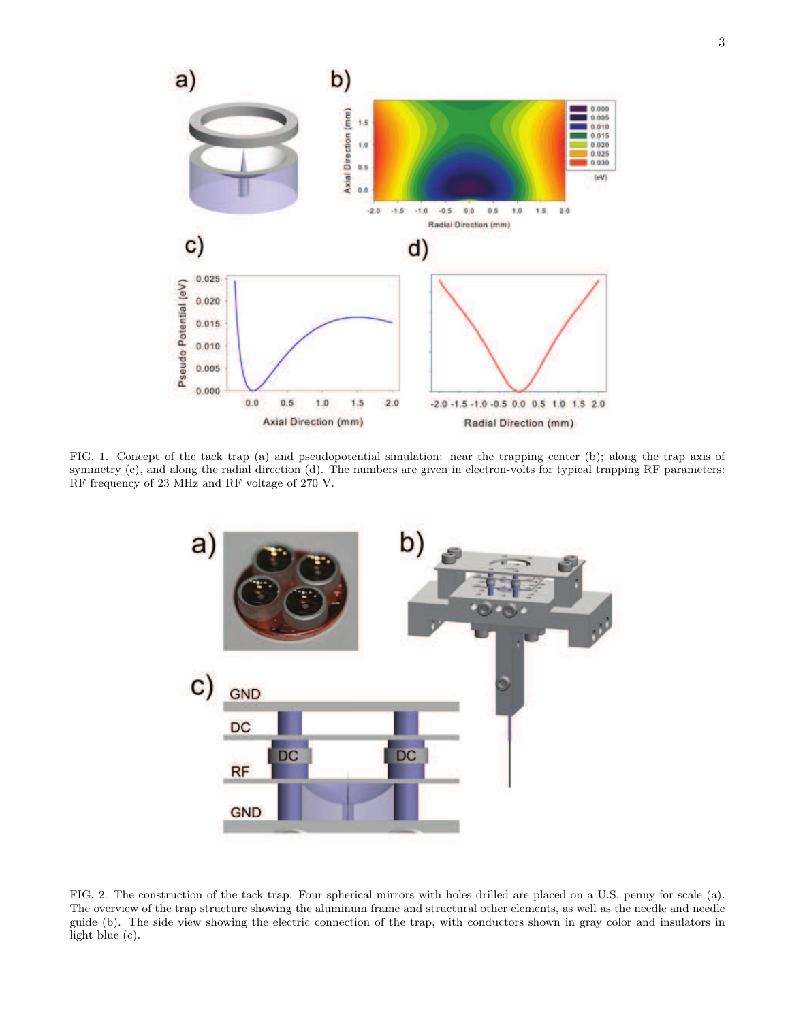

FIG. 1. Concept of the tack trap (a) and pseudopotential simulation: near the trapping center (b); along the trap axis of symmetry (c), and along the radial direction (d). The numbers are given in electron-volts for typical trapping RF parameters: RF frequency of 23 MHz and RF voltage of 270 V.



<span id="page-2-0"></span>FIG. 2. The construction of the tack trap. Four spherical mirrors with holes drilled are placed on a U.S. penny for scale (a). The overview of the trap structure showing the aluminum frame and structural other elements, as well as the needle and needle guide (b). The side view showing the electric connection of the trap, with conductors shown in gray color and insulators in light blue (c).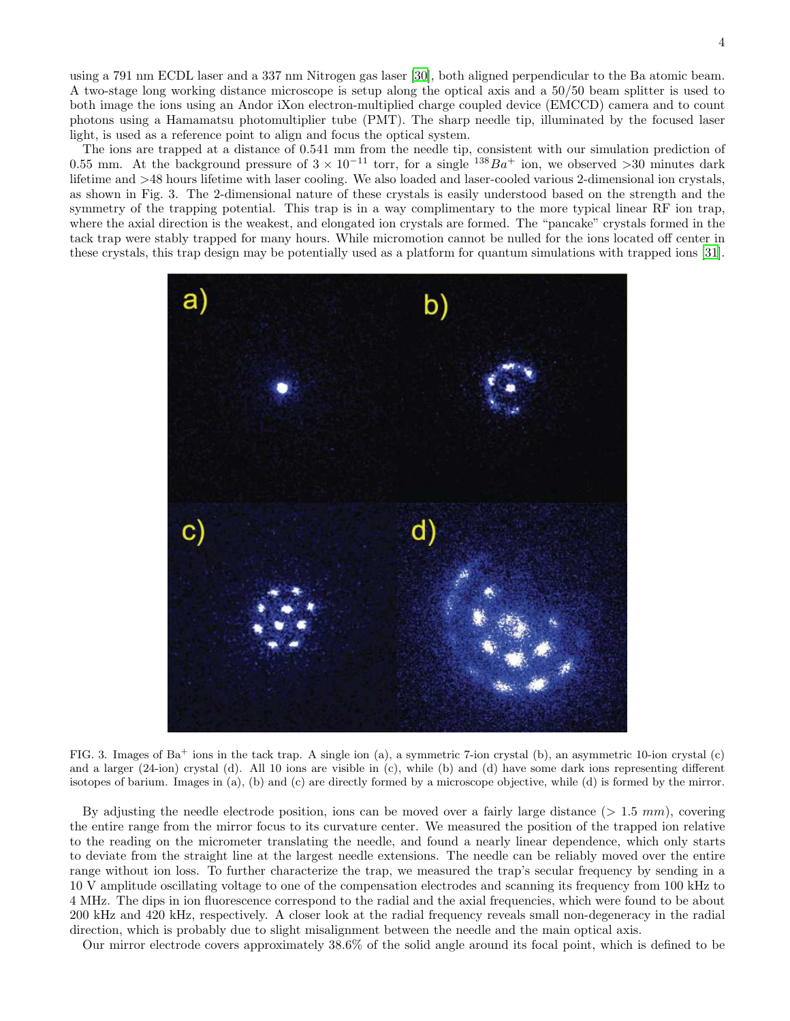using a 791 nm ECDL laser and a 337 nm Nitrogen gas laser [\[30](#page-7-1)], both aligned perpendicular to the Ba atomic beam. A two-stage long working distance microscope is setup along the optical axis and a 50/50 beam splitter is used to both image the ions using an Andor iXon electron-multiplied charge coupled device (EMCCD) camera and to count photons using a Hamamatsu photomultiplier tube (PMT). The sharp needle tip, illuminated by the focused laser light, is used as a reference point to align and focus the optical system.

The ions are trapped at a distance of 0.541 mm from the needle tip, consistent with our simulation prediction of 0.55 mm. At the background pressure of  $3 \times 10^{-11}$  torr, for a single  $138Ba^+$  ion, we observed >30 minutes dark lifetime and >48 hours lifetime with laser cooling. We also loaded and laser-cooled various 2-dimensional ion crystals, as shown in Fig. 3. The 2-dimensional nature of these crystals is easily understood based on the strength and the symmetry of the trapping potential. This trap is in a way complimentary to the more typical linear RF ion trap, where the axial direction is the weakest, and elongated ion crystals are formed. The "pancake" crystals formed in the tack trap were stably trapped for many hours. While micromotion cannot be nulled for the ions located off center in these crystals, this trap design may be potentially used as a platform for quantum simulations with trapped ions [\[31\]](#page-7-2).



FIG. 3. Images of  $Ba^+$  ions in the tack trap. A single ion (a), a symmetric 7-ion crystal (b), an asymmetric 10-ion crystal (c) and a larger (24-ion) crystal (d). All 10 ions are visible in (c), while (b) and (d) have some dark ions representing different isotopes of barium. Images in (a), (b) and (c) are directly formed by a microscope objective, while (d) is formed by the mirror.

By adjusting the needle electrode position, ions can be moved over a fairly large distance  $(> 1.5 \, mm)$ , covering the entire range from the mirror focus to its curvature center. We measured the position of the trapped ion relative to the reading on the micrometer translating the needle, and found a nearly linear dependence, which only starts to deviate from the straight line at the largest needle extensions. The needle can be reliably moved over the entire range without ion loss. To further characterize the trap, we measured the trap's secular frequency by sending in a 10 V amplitude oscillating voltage to one of the compensation electrodes and scanning its frequency from 100 kHz to 4 MHz. The dips in ion fluorescence correspond to the radial and the axial frequencies, which were found to be about 200 kHz and 420 kHz, respectively. A closer look at the radial frequency reveals small non-degeneracy in the radial direction, which is probably due to slight misalignment between the needle and the main optical axis.

Our mirror electrode covers approximately 38.6% of the solid angle around its focal point, which is defined to be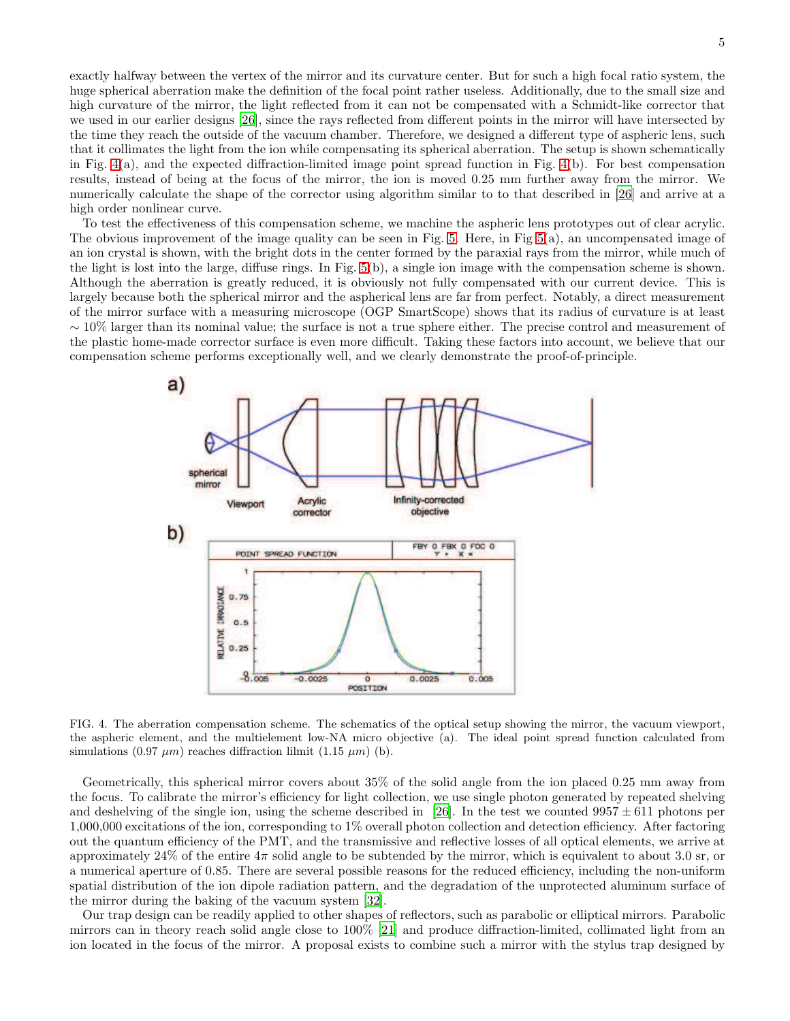exactly halfway between the vertex of the mirror and its curvature center. But for such a high focal ratio system, the huge spherical aberration make the definition of the focal point rather useless. Additionally, due to the small size and high curvature of the mirror, the light reflected from it can not be compensated with a Schmidt-like corrector that we used in our earlier designs [\[26\]](#page-6-19), since the rays reflected from different points in the mirror will have intersected by the time they reach the outside of the vacuum chamber. Therefore, we designed a different type of aspheric lens, such that it collimates the light from the ion while compensating its spherical aberration. The setup is shown schematically in Fig. [4\(](#page-4-0)a), and the expected diffraction-limited image point spread function in Fig. [4\(](#page-4-0)b). For best compensation results, instead of being at the focus of the mirror, the ion is moved 0.25 mm further away from the mirror. We numerically calculate the shape of the corrector using algorithm similar to to that described in [\[26\]](#page-6-19) and arrive at a high order nonlinear curve.

To test the effectiveness of this compensation scheme, we machine the aspheric lens prototypes out of clear acrylic. The obvious improvement of the image quality can be seen in Fig. [5.](#page-5-0) Here, in Fig [5\(](#page-5-0)a), an uncompensated image of an ion crystal is shown, with the bright dots in the center formed by the paraxial rays from the mirror, while much of the light is lost into the large, diffuse rings. In Fig. [5\(](#page-5-0)b), a single ion image with the compensation scheme is shown. Although the aberration is greatly reduced, it is obviously not fully compensated with our current device. This is largely because both the spherical mirror and the aspherical lens are far from perfect. Notably, a direct measurement of the mirror surface with a measuring microscope (OGP SmartScope) shows that its radius of curvature is at least ∼ 10% larger than its nominal value; the surface is not a true sphere either. The precise control and measurement of the plastic home-made corrector surface is even more difficult. Taking these factors into account, we believe that our compensation scheme performs exceptionally well, and we clearly demonstrate the proof-of-principle.



<span id="page-4-0"></span>FIG. 4. The aberration compensation scheme. The schematics of the optical setup showing the mirror, the vacuum viewport, the aspheric element, and the multielement low-NA micro objective (a). The ideal point spread function calculated from simulations (0.97  $\mu$ m) reaches diffraction lilmit (1.15  $\mu$ m) (b).

Geometrically, this spherical mirror covers about 35% of the solid angle from the ion placed 0.25 mm away from the focus. To calibrate the mirror's efficiency for light collection, we use single photon generated by repeated shelving and deshelving of the single ion, using the scheme described in [\[26\]](#page-6-19). In the test we counted  $9957 \pm 611$  photons per 1,000,000 excitations of the ion, corresponding to 1% overall photon collection and detection efficiency. After factoring out the quantum efficiency of the PMT, and the transmissive and reflective losses of all optical elements, we arrive at approximately 24% of the entire  $4\pi$  solid angle to be subtended by the mirror, which is equivalent to about 3.0 sr, or a numerical aperture of 0.85. There are several possible reasons for the reduced efficiency, including the non-uniform spatial distribution of the ion dipole radiation pattern, and the degradation of the unprotected aluminum surface of the mirror during the baking of the vacuum system [\[32\]](#page-7-3).

Our trap design can be readily applied to other shapes of reflectors, such as parabolic or elliptical mirrors. Parabolic mirrors can in theory reach solid angle close to 100% [\[21\]](#page-6-14) and produce diffraction-limited, collimated light from an ion located in the focus of the mirror. A proposal exists to combine such a mirror with the stylus trap designed by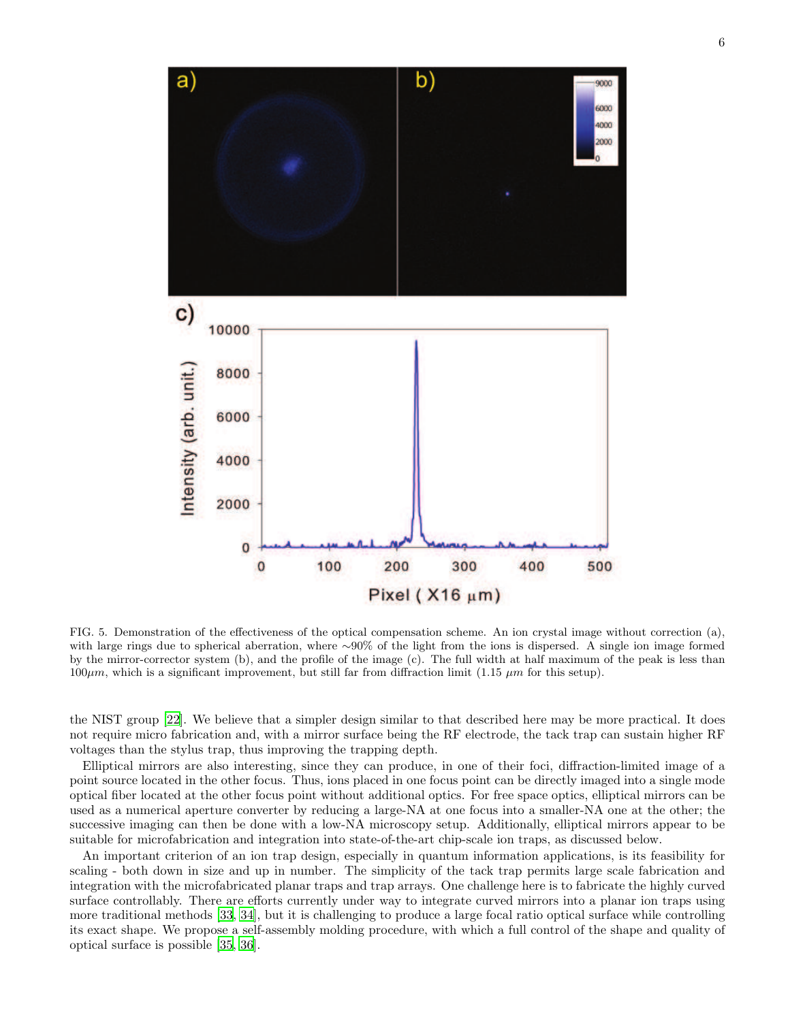

<span id="page-5-0"></span>FIG. 5. Demonstration of the effectiveness of the optical compensation scheme. An ion crystal image without correction (a), with large rings due to spherical aberration, where ∼90% of the light from the ions is dispersed. A single ion image formed by the mirror-corrector system (b), and the profile of the image (c). The full width at half maximum of the peak is less than  $100\mu$ m, which is a significant improvement, but still far from diffraction limit (1.15  $\mu$ m for this setup).

the NIST group [\[22](#page-6-15)]. We believe that a simpler design similar to that described here may be more practical. It does not require micro fabrication and, with a mirror surface being the RF electrode, the tack trap can sustain higher RF voltages than the stylus trap, thus improving the trapping depth.

Elliptical mirrors are also interesting, since they can produce, in one of their foci, diffraction-limited image of a point source located in the other focus. Thus, ions placed in one focus point can be directly imaged into a single mode optical fiber located at the other focus point without additional optics. For free space optics, elliptical mirrors can be used as a numerical aperture converter by reducing a large-NA at one focus into a smaller-NA one at the other; the successive imaging can then be done with a low-NA microscopy setup. Additionally, elliptical mirrors appear to be suitable for microfabrication and integration into state-of-the-art chip-scale ion traps, as discussed below.

An important criterion of an ion trap design, especially in quantum information applications, is its feasibility for scaling - both down in size and up in number. The simplicity of the tack trap permits large scale fabrication and integration with the microfabricated planar traps and trap arrays. One challenge here is to fabricate the highly curved surface controllably. There are efforts currently under way to integrate curved mirrors into a planar ion traps using more traditional methods [\[33,](#page-7-4) [34\]](#page-7-5), but it is challenging to produce a large focal ratio optical surface while controlling its exact shape. We propose a self-assembly molding procedure, with which a full control of the shape and quality of optical surface is possible [\[35,](#page-7-6) [36\]](#page-7-7).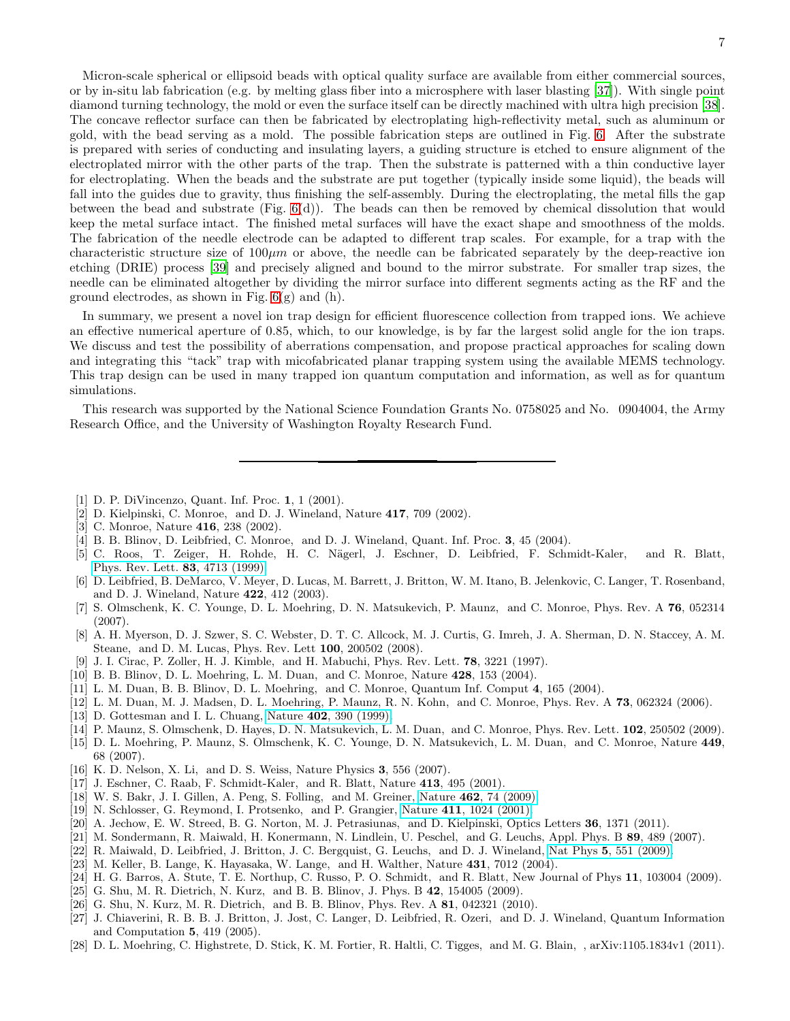Micron-scale spherical or ellipsoid beads with optical quality surface are available from either commercial sources, or by in-situ lab fabrication (e.g. by melting glass fiber into a microsphere with laser blasting [\[37\]](#page-8-0)). With single point diamond turning technology, the mold or even the surface itself can be directly machined with ultra high precision [\[38\]](#page-8-1). The concave reflector surface can then be fabricated by electroplating high-reflectivity metal, such as aluminum or gold, with the bead serving as a mold. The possible fabrication steps are outlined in Fig. [6.](#page-7-8) After the substrate is prepared with series of conducting and insulating layers, a guiding structure is etched to ensure alignment of the electroplated mirror with the other parts of the trap. Then the substrate is patterned with a thin conductive layer for electroplating. When the beads and the substrate are put together (typically inside some liquid), the beads will fall into the guides due to gravity, thus finishing the self-assembly. During the electroplating, the metal fills the gap between the bead and substrate (Fig. [6\(](#page-7-8)d)). The beads can then be removed by chemical dissolution that would keep the metal surface intact. The finished metal surfaces will have the exact shape and smoothness of the molds. The fabrication of the needle electrode can be adapted to different trap scales. For example, for a trap with the characteristic structure size of  $100\mu m$  or above, the needle can be fabricated separately by the deep-reactive ion etching (DRIE) process [\[39](#page-8-2)] and precisely aligned and bound to the mirror substrate. For smaller trap sizes, the needle can be eliminated altogether by dividing the mirror surface into different segments acting as the RF and the ground electrodes, as shown in Fig.  $6(g)$  and  $(h)$ .

In summary, we present a novel ion trap design for efficient fluorescence collection from trapped ions. We achieve an effective numerical aperture of 0.85, which, to our knowledge, is by far the largest solid angle for the ion traps. We discuss and test the possibility of aberrations compensation, and propose practical approaches for scaling down and integrating this "tack" trap with micofabricated planar trapping system using the available MEMS technology. This trap design can be used in many trapped ion quantum computation and information, as well as for quantum simulations.

This research was supported by the National Science Foundation Grants No. 0758025 and No. 0904004, the Army Research Office, and the University of Washington Royalty Research Fund.

- <span id="page-6-0"></span>[1] D. P. DiVincenzo, Quant. Inf. Proc. 1, 1 (2001).
- [2] D. Kielpinski, C. Monroe, and D. J. Wineland, Nature 417, 709 (2002).
- <span id="page-6-1"></span>[3] C. Monroe, Nature 416, 238 (2002).
- <span id="page-6-2"></span>[4] B. B. Blinov, D. Leibfried, C. Monroe, and D. J. Wineland, Quant. Inf. Proc. 3, 45 (2004).
- <span id="page-6-3"></span>[5] C. Roos, T. Zeiger, H. Rohde, H. C. N¨agerl, J. Eschner, D. Leibfried, F. Schmidt-Kaler, and R. Blatt, [Phys. Rev. Lett.](http://dx.doi.org/10.1103/PhysRevLett.83.4713) 83, 4713 (1999).
- <span id="page-6-4"></span>[6] D. Leibfried, B. DeMarco, V. Meyer, D. Lucas, M. Barrett, J. Britton, W. M. Itano, B. Jelenkovic, C. Langer, T. Rosenband, and D. J. Wineland, Nature 422, 412 (2003).
- <span id="page-6-5"></span>[7] S. Olmschenk, K. C. Younge, D. L. Moehring, D. N. Matsukevich, P. Maunz, and C. Monroe, Phys. Rev. A 76, 052314 (2007).
- <span id="page-6-6"></span>[8] A. H. Myerson, D. J. Szwer, S. C. Webster, D. T. C. Allcock, M. J. Curtis, G. Imreh, J. A. Sherman, D. N. Staccey, A. M. Steane, and D. M. Lucas, Phys. Rev. Lett 100, 200502 (2008).
- <span id="page-6-7"></span>[9] J. I. Cirac, P. Zoller, H. J. Kimble, and H. Mabuchi, Phys. Rev. Lett. 78, 3221 (1997).
- [10] B. B. Blinov, D. L. Moehring, L. M. Duan, and C. Monroe, Nature 428, 153 (2004).
- [11] L. M. Duan, B. B. Blinov, D. L. Moehring, and C. Monroe, Quantum Inf. Comput 4, 165 (2004).
- [12] L. M. Duan, M. J. Madsen, D. L. Moehring, P. Maunz, R. N. Kohn, and C. Monroe, Phys. Rev. A 73, 062324 (2006).
- [13] D. Gottesman and I. L. Chuang, Nature **402**[, 390 \(1999\).](http://dx.doi.org/10.1038/46503)
- [14] P. Maunz, S. Olmschenk, D. Hayes, D. N. Matsukevich, L. M. Duan, and C. Monroe, Phys. Rev. Lett. 102, 250502 (2009).
- <span id="page-6-8"></span>[15] D. L. Moehring, P. Maunz, S. Olmschenk, K. C. Younge, D. N. Matsukevich, L. M. Duan, and C. Monroe, Nature 449, 68 (2007).
- <span id="page-6-9"></span>[16] K. D. Nelson, X. Li, and D. S. Weiss, Nature Physics 3, 556 (2007).
- <span id="page-6-10"></span>[17] J. Eschner, C. Raab, F. Schmidt-Kaler, and R. Blatt, Nature 413, 495 (2001).
- <span id="page-6-11"></span>[18] W. S. Bakr, J. I. Gillen, A. Peng, S. Folling, and M. Greiner, Nature 462[, 74 \(2009\).](http://dx.doi.org/10.1038/nature08482)
- <span id="page-6-12"></span>[19] N. Schlosser, G. Reymond, I. Protsenko, and P. Grangier, Nature 411[, 1024 \(2001\).](http://dx.doi.org/10.1038/35082512)
- <span id="page-6-13"></span>[20] A. Jechow, E. W. Streed, B. G. Norton, M. J. Petrasiunas, and D. Kielpinski, Optics Letters 36, 1371 (2011).
- <span id="page-6-14"></span>[21] M. Sondermann, R. Maiwald, H. Konermann, N. Lindlein, U. Peschel, and G. Leuchs, Appl. Phys. B 89, 489 (2007).
- <span id="page-6-15"></span>[22] R. Maiwald, D. Leibfried, J. Britton, J. C. Bergquist, G. Leuchs, and D. J. Wineland, Nat Phys 5[, 551 \(2009\).](http://dx.doi.org/10.1038/nphys1311)
- <span id="page-6-16"></span>[23] M. Keller, B. Lange, K. Hayasaka, W. Lange, and H. Walther, Nature 431, 7012 (2004).
- <span id="page-6-17"></span>[24] H. G. Barros, A. Stute, T. E. Northup, C. Russo, P. O. Schmidt, and R. Blatt, New Journal of Phys 11, 103004 (2009).
- <span id="page-6-18"></span>[25] G. Shu, M. R. Dietrich, N. Kurz, and B. B. Blinov, J. Phys. B 42, 154005 (2009).
- <span id="page-6-19"></span>[26] G. Shu, N. Kurz, M. R. Dietrich, and B. B. Blinov, Phys. Rev. A 81, 042321 (2010).
- <span id="page-6-20"></span>[27] J. Chiaverini, R. B. B. J. Britton, J. Jost, C. Langer, D. Leibfried, R. Ozeri, and D. J. Wineland, Quantum Information and Computation 5, 419 (2005).
- <span id="page-6-21"></span>[28] D. L. Moehring, C. Highstrete, D. Stick, K. M. Fortier, R. Haltli, C. Tigges, and M. G. Blain, , arXiv:1105.1834v1 (2011).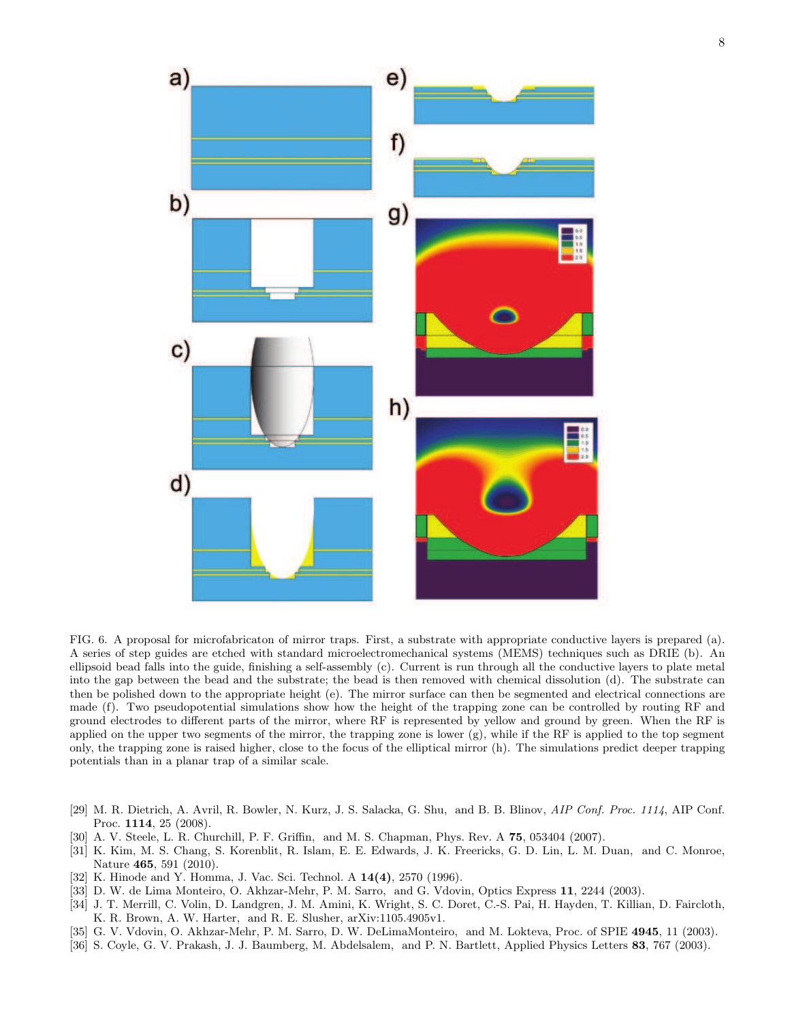

<span id="page-7-8"></span>FIG. 6. A proposal for microfabricaton of mirror traps. First, a substrate with appropriate conductive layers is prepared (a). A series of step guides are etched with standard microelectromechanical systems (MEMS) techniques such as DRIE (b). An ellipsoid bead falls into the guide, finishing a self-assembly (c). Current is run through all the conductive layers to plate metal into the gap between the bead and the substrate; the bead is then removed with chemical dissolution (d). The substrate can then be polished down to the appropriate height (e). The mirror surface can then be segmented and electrical connections are made (f). Two pseudopotential simulations show how the height of the trapping zone can be controlled by routing RF and ground electrodes to different parts of the mirror, where RF is represented by yellow and ground by green. When the RF is applied on the upper two segments of the mirror, the trapping zone is lower  $(g)$ , while if the RF is applied to the top segment only, the trapping zone is raised higher, close to the focus of the elliptical mirror (h). The simulations predict deeper trapping potentials than in a planar trap of a similar scale.

- <span id="page-7-0"></span>[29] M. R. Dietrich, A. Avril, R. Bowler, N. Kurz, J. S. Salacka, G. Shu, and B. B. Blinov, AIP Conf. Proc. 1114, AIP Conf. Proc. 1114, 25 (2008).
- <span id="page-7-1"></span>[30] A. V. Steele, L. R. Churchill, P. F. Griffin, and M. S. Chapman, Phys. Rev. A 75, 053404 (2007).
- <span id="page-7-2"></span>[31] K. Kim, M. S. Chang, S. Korenblit, R. Islam, E. E. Edwards, J. K. Freericks, G. D. Lin, L. M. Duan, and C. Monroe, Nature 465, 591 (2010).
- <span id="page-7-3"></span>[32] K. Hinode and Y. Homma, J. Vac. Sci. Technol. A  $14(4)$ , 2570 (1996).
- <span id="page-7-4"></span>[33] D. W. de Lima Monteiro, O. Akhzar-Mehr, P. M. Sarro, and G. Vdovin, Optics Express 11, 2244 (2003).
- <span id="page-7-5"></span>[34] J. T. Merrill, C. Volin, D. Landgren, J. M. Amini, K. Wright, S. C. Doret, C.-S. Pai, H. Hayden, T. Killian, D. Faircloth, K. R. Brown, A. W. Harter, and R. E. Slusher, arXiv:1105.4905v1.
- <span id="page-7-6"></span>[35] G. V. Vdovin, O. Akhzar-Mehr, P. M. Sarro, D. W. DeLimaMonteiro, and M. Lokteva, Proc. of SPIE 4945, 11 (2003).
- <span id="page-7-7"></span>[36] S. Coyle, G. V. Prakash, J. J. Baumberg, M. Abdelsalem, and P. N. Bartlett, Applied Physics Letters 83, 767 (2003).